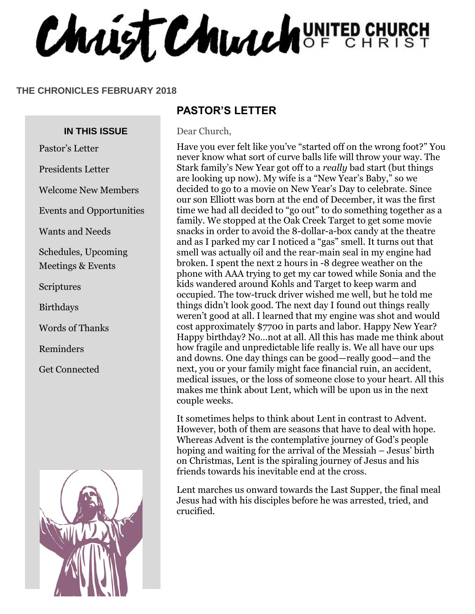Chaist Church UNITED CHURCH

#### **THE CHRONICLES FEBRUARY 2018**

#### **IN THIS ISSUE**

Pastor's Letter

Presidents Letter

Welcome New Members

Events and Opportunities

Wants and Needs

Schedules, Upcoming Meetings & Events

**Scriptures** 

Birthdays

Words of Thanks

Reminders

Get Connected



#### **PASTOR'S LETTER**

Dear Church,

Have you ever felt like you've "started off on the wrong foot?" You never know what sort of curve balls life will throw your way. The Stark family's New Year got off to a *really* bad start (but things are looking up now). My wife is a "New Year's Baby," so we decided to go to a movie on New Year's Day to celebrate. Since our son Elliott was born at the end of December, it was the first time we had all decided to "go out" to do something together as a family. We stopped at the Oak Creek Target to get some movie snacks in order to avoid the 8-dollar-a-box candy at the theatre and as I parked my car I noticed a "gas" smell. It turns out that smell was actually oil and the rear-main seal in my engine had broken. I spent the next 2 hours in -8 degree weather on the phone with AAA trying to get my car towed while Sonia and the kids wandered around Kohls and Target to keep warm and occupied. The tow-truck driver wished me well, but he told me things didn't look good. The next day I found out things really weren't good at all. I learned that my engine was shot and would cost approximately \$7700 in parts and labor. Happy New Year? Happy birthday? No…not at all. All this has made me think about how fragile and unpredictable life really is. We all have our ups and downs. One day things can be good—really good—and the next, you or your family might face financial ruin, an accident, medical issues, or the loss of someone close to your heart. All this makes me think about Lent, which will be upon us in the next couple weeks.

It sometimes helps to think about Lent in contrast to Advent. However, both of them are seasons that have to deal with hope. Whereas Advent is the contemplative journey of God's people hoping and waiting for the arrival of the Messiah – Jesus' birth on Christmas, Lent is the spiraling journey of Jesus and his friends towards his inevitable end at the cross.

Lent marches us onward towards the Last Supper, the final meal Jesus had with his disciples before he was arrested, tried, and crucified.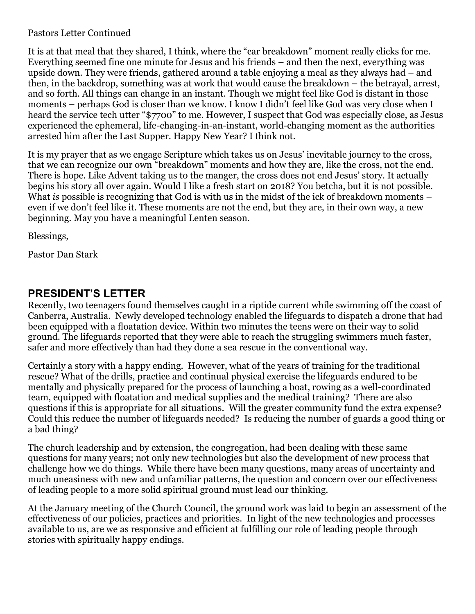#### Pastors Letter Continued

It is at that meal that they shared, I think, where the "car breakdown" moment really clicks for me. Everything seemed fine one minute for Jesus and his friends – and then the next, everything was upside down. They were friends, gathered around a table enjoying a meal as they always had – and then, in the backdrop, something was at work that would cause the breakdown – the betrayal, arrest, and so forth. All things can change in an instant. Though we might feel like God is distant in those moments – perhaps God is closer than we know. I know I didn't feel like God was very close when I heard the service tech utter "\$7700" to me. However, I suspect that God was especially close, as Jesus experienced the ephemeral, life-changing-in-an-instant, world-changing moment as the authorities arrested him after the Last Supper. Happy New Year? I think not.

It is my prayer that as we engage Scripture which takes us on Jesus' inevitable journey to the cross, that we can recognize our own "breakdown" moments and how they are, like the cross, not the end. There is hope. Like Advent taking us to the manger, the cross does not end Jesus' story. It actually begins his story all over again. Would I like a fresh start on 2018? You betcha, but it is not possible. What *is* possible is recognizing that God is with us in the midst of the ick of breakdown moments – even if we don't feel like it. These moments are not the end, but they are, in their own way, a new beginning. May you have a meaningful Lenten season.

Blessings,

Pastor Dan Stark

#### **PRESIDENT'S LETTER**

Recently, two teenagers found themselves caught in a riptide current while swimming off the coast of Canberra, Australia. Newly developed technology enabled the lifeguards to dispatch a drone that had been equipped with a floatation device. Within two minutes the teens were on their way to solid ground. The lifeguards reported that they were able to reach the struggling swimmers much faster, safer and more effectively than had they done a sea rescue in the conventional way.

Certainly a story with a happy ending. However, what of the years of training for the traditional rescue? What of the drills, practice and continual physical exercise the lifeguards endured to be mentally and physically prepared for the process of launching a boat, rowing as a well-coordinated team, equipped with floatation and medical supplies and the medical training? There are also questions if this is appropriate for all situations. Will the greater community fund the extra expense? Could this reduce the number of lifeguards needed? Is reducing the number of guards a good thing or a bad thing?

The church leadership and by extension, the congregation, had been dealing with these same questions for many years; not only new technologies but also the development of new process that challenge how we do things. While there have been many questions, many areas of uncertainty and much uneasiness with new and unfamiliar patterns, the question and concern over our effectiveness of leading people to a more solid spiritual ground must lead our thinking.

At the January meeting of the Church Council, the ground work was laid to begin an assessment of the effectiveness of our policies, practices and priorities. In light of the new technologies and processes available to us, are we as responsive and efficient at fulfilling our role of leading people through stories with spiritually happy endings.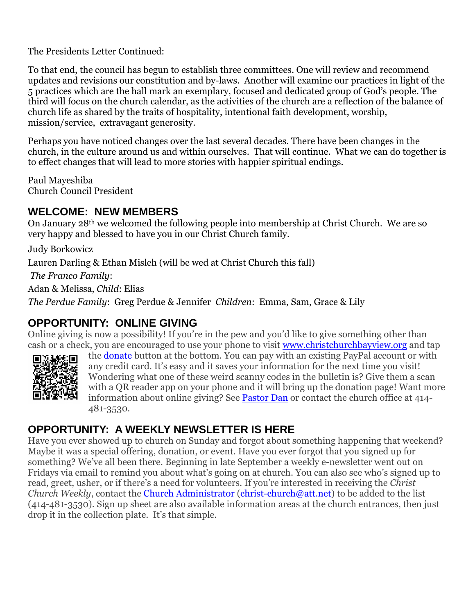The Presidents Letter Continued:

To that end, the council has begun to establish three committees. One will review and recommend updates and revisions our constitution and by-laws. Another will examine our practices in light of the 5 practices which are the hall mark an exemplary, focused and dedicated group of God's people. The third will focus on the church calendar, as the activities of the church are a reflection of the balance of church life as shared by the traits of hospitality, intentional faith development, worship, mission/service, extravagant generosity.

Perhaps you have noticed changes over the last several decades. There have been changes in the church, in the culture around us and within ourselves. That will continue. What we can do together is to effect changes that will lead to more stories with happier spiritual endings.

Paul Mayeshiba Church Council President

#### **WELCOME: NEW MEMBERS**

On January 28th we welcomed the following people into membership at Christ Church. We are so very happy and blessed to have you in our Christ Church family.

Judy Borkowicz

Lauren Darling & Ethan Misleh (will be wed at Christ Church this fall)

*The Franco Family*:

Adan & Melissa, *Child*: Elias

*The Perdue Family*: Greg Perdue & Jennifer *Children*: Emma, Sam, Grace & Lily

## **OPPORTUNITY: ONLINE GIVING**

Online giving is now a possibility! If you're in the pew and you'd like to give something other than cash or a check, you are encouraged to use your phone to visit [www.christchurchbayview.org](http://www.christchurchbayview.org/) and tap



the [donate](https://www.paypal.com/cgi-bin/webscr?cmd=_s-xclick&hosted_button_id=D7W2VTZZBHZNU) button at the bottom. You can pay with an existing PayPal account or with any credit card. It's easy and it saves your information for the next time you visit! Wondering what one of these weird scanny codes in the bulletin is? Give them a scan with a QR reader app on your phone and it will bring up the donation page! Want more information about online giving? See [Pastor Dan](mailto:dan_stark@att.net) or contact the church office at 414- 481-3530.

## **OPPORTUNITY: A WEEKLY NEWSLETTER IS HERE**

Have you ever showed up to church on Sunday and forgot about something happening that weekend? Maybe it was a special offering, donation, or event. Have you ever forgot that you signed up for something? We've all been there. Beginning in late September a weekly e-newsletter went out on Fridays via email to remind you about what's going on at church. You can also see who's signed up to read, greet, usher, or if there's a need for volunteers. If you're interested in receiving the *Christ Church Weekly*, contact the [Church Administrator](mailto:christ-church@att.net) [\(christ-church@att.net\)](mailto:christ-church@att.net) to be added to the list (414-481-3530). Sign up sheet are also available information areas at the church entrances, then just drop it in the collection plate. It's that simple.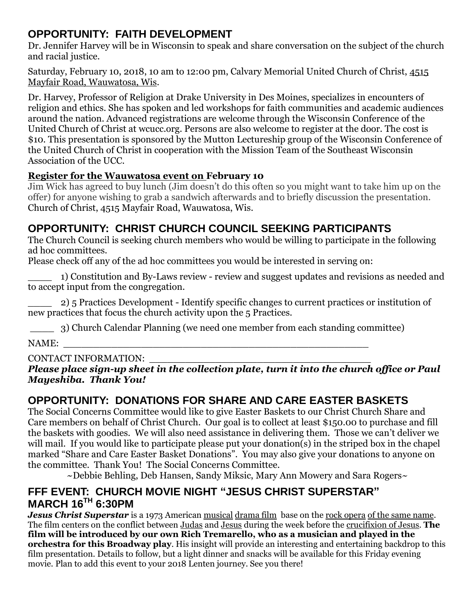## **OPPORTUNITY: FAITH DEVELOPMENT**

Dr. Jennifer Harvey will be in Wisconsin to speak and share conversation on the subject of the church and racial justice.

Saturday, February 10, 2018, 10 am to 12:00 pm, Calvary Memorial United Church of Christ, [4515](https://maps.google.com/?q=4515+Mayfair+Road,+Wauwatosa,+Wis&entry=gmail&source=g)  [Mayfair Road, Wauwatosa, Wis.](https://maps.google.com/?q=4515+Mayfair+Road,+Wauwatosa,+Wis&entry=gmail&source=g)

Dr. Harvey, Professor of Religion at Drake University in Des Moines, specializes in encounters of religion and ethics. She has spoken and led workshops for faith communities and academic audiences around the nation. Advanced registrations are welcome through the Wisconsin Conference of the United Church of Christ at wcucc.org. Persons are also welcome to register at the door. The cost is \$10. This presentation is sponsored by the Mutton Lectureship group of the Wisconsin Conference of the United Church of Christ in cooperation with the Mission Team of the Southeast Wisconsin Association of the UCC.

#### **[Register for the Wauwatosa event on](http://r20.rs6.net/tn.jsp?f=0010MOnmiKmLbgalGxWtKz5D8HGe16izs6gdQ2PUArQAm_rCUkjGiCXzrcrSYDvJdkKrQYZvjHWMbSvhfWHbVfBQltA09fycAKtQmbL_w2OD6DTHcfkb1Wzc9ImrUzQrtoXo8_TV52F7KbpEW_JtU9hcVj9dHliBSY-ZXUpB8_cQjcboSEZ7tij-zoamJYkhr-26pZT7kYSb8qtJBJOfK8qzPKZw4Feb-9NCuac8-oggvMCxMKGeacyCpGEYT6_QaB9tRbUZbPnliGPVS-HmNb35i9HBp7bjkGfndW-3JObQ2DDts87Jv4HyoAhPA4HldA79Xp-6VNKGzsj-yehRmQ9zIHG4VUkHjv3mvS0QIXh8H5JDgpg8vaRxo0XAxb2aHSoXTw1NYWvXPl3LFrDOI56UA==&c=1cg4YZCvzHz8tCbunyBsypHnqzT6et0EkgnIhbeMjeyoWoZWHDZHJw==&ch=xaM2S6plIwwTu_G6IiWdWh07ueItEEG8Djr4xVVb34g1PqfUznlOYg==) February 10**

Jim Wick has agreed to buy lunch (Jim doesn't do this often so you might want to take him up on the offer) for anyone wishing to grab a sandwich afterwards and to briefly discussion the presentation. Church of Christ, 4515 Mayfair Road, Wauwatosa, Wis.

## **OPPORTUNITY: CHRIST CHURCH COUNCIL SEEKING PARTICIPANTS**

The Church Council is seeking church members who would be willing to participate in the following ad hoc committees.

Please check off any of the ad hoc committees you would be interested in serving on:

\_\_\_\_ 1) Constitution and By-Laws review - review and suggest updates and revisions as needed and to accept input from the congregation.

\_\_\_\_ 2) 5 Practices Development - Identify specific changes to current practices or institution of new practices that focus the church activity upon the 5 Practices.

\_\_\_\_ 3) Church Calendar Planning (we need one member from each standing committee)

NAME:

#### CONTACT INFORMATION:

*Please place sign-up sheet in the collection plate, turn it into the church office or Paul Mayeshiba. Thank You!*

# **OPPORTUNITY: DONATIONS FOR SHARE AND CARE EASTER BASKETS**

The Social Concerns Committee would like to give Easter Baskets to our Christ Church Share and Care members on behalf of Christ Church. Our goal is to collect at least \$150.00 to purchase and fill the baskets with goodies. We will also need assistance in delivering them. Those we can't deliver we will mail. If you would like to participate please put your donation(s) in the striped box in the chapel marked "Share and Care Easter Basket Donations". You may also give your donations to anyone on the committee. Thank You! The Social Concerns Committee.

 $\sim$ Debbie Behling, Deb Hansen, Sandy Miksic, Mary Ann Mowery and Sara Rogers $\sim$ 

#### **FFF EVENT: CHURCH MOVIE NIGHT "JESUS CHRIST SUPERSTAR" MARCH 16TH 6:30PM**

*Jesus Christ Superstar* is a 1973 American [musical](https://en.wikipedia.org/wiki/Musical_film) [drama film](https://en.wikipedia.org/wiki/Drama_film) base on the [rock opera](https://en.wikipedia.org/wiki/Rock_opera) [of the same name.](https://en.wikipedia.org/wiki/Jesus_Christ_Superstar) The film centers on the conflict between [Judas](https://en.wikipedia.org/wiki/Judas_Iscariot) and [Jesus](https://en.wikipedia.org/wiki/Jesus) during the week before the [crucifixion of Jesus.](https://en.wikipedia.org/wiki/Crucifixion_of_Jesus) **The film will be introduced by our own Rich Tremarello, who as a musician and played in the orchestra for this Broadway play**. His insight will provide an interesting and entertaining backdrop to this film presentation. Details to follow, but a light dinner and snacks will be available for this Friday evening movie. Plan to add this event to your 2018 Lenten journey. See you there!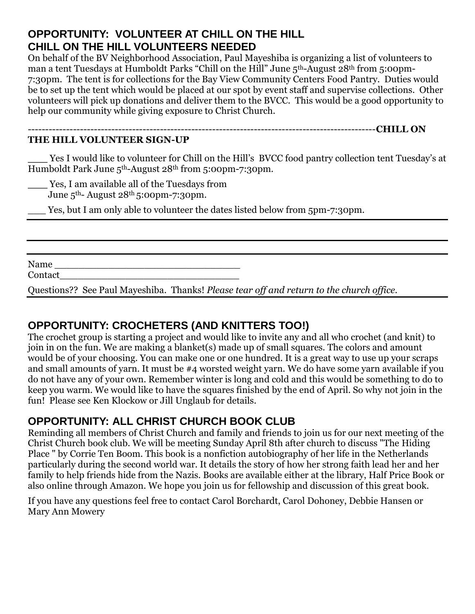#### **OPPORTUNITY: VOLUNTEER AT CHILL ON THE HILL CHILL ON THE HILL VOLUNTEERS NEEDED**

On behalf of the BV Neighborhood Association, Paul Mayeshiba is organizing a list of volunteers to man a tent Tuesdays at Humboldt Parks "Chill on the Hill" June 5<sup>th</sup>-August 28<sup>th</sup> from 5:00pm-7:30pm. The tent is for collections for the Bay View Community Centers Food Pantry. Duties would be to set up the tent which would be placed at our spot by event staff and supervise collections. Other volunteers will pick up donations and deliver them to the BVCC. This would be a good opportunity to help our community while giving exposure to Christ Church.

#### **THE HILL VOLUNTEER SIGN-UP**

Yes I would like to volunteer for Chill on the Hill's BVCC food pantry collection tent Tuesday's at Humboldt Park June 5th-August 28th from 5:00pm-7:30pm.

----------------------------------------------------------------------------------------------------**CHILL ON** 

**\_\_\_** Yes, I am available all of the Tuesdays from

June  $5<sup>th</sup>$ - August 28<sup>th</sup> 5:00pm-7:30pm.

Yes, but I am only able to volunteer the dates listed below from 5pm-7:30pm.

Name \_\_\_\_\_\_\_\_\_\_\_\_\_\_\_\_\_\_\_\_\_\_\_\_\_\_\_\_\_\_\_ Contact

Questions?? See Paul Mayeshiba. Thanks! *Please tear off and return to the church office.*

#### **OPPORTUNITY: CROCHETERS (AND KNITTERS TOO!)**

The crochet group is starting a project and would like to invite any and all who crochet (and knit) to join in on the fun. We are making a blanket(s) made up of small squares. The colors and amount would be of your choosing. You can make one or one hundred. It is a great way to use up your scraps and small amounts of yarn. It must be #4 worsted weight yarn. We do have some yarn available if you do not have any of your own. Remember winter is long and cold and this would be something to do to keep you warm. We would like to have the squares finished by the end of April. So why not join in the fun! Please see Ken Klockow or Jill Unglaub for details.

#### **OPPORTUNITY: ALL CHRIST CHURCH BOOK CLUB**

Reminding all members of Christ Church and family and friends to join us for our next meeting of the Christ Church book club. We will be meeting Sunday April 8th after church to discuss "The Hiding Place " by Corrie Ten Boom. This book is a nonfiction autobiography of her life in the Netherlands particularly during the second world war. It details the story of how her strong faith lead her and her family to help friends hide from the Nazis. Books are available either at the library, Half Price Book or also online through Amazon. We hope you join us for fellowship and discussion of this great book.

If you have any questions feel free to contact Carol Borchardt, Carol Dohoney, Debbie Hansen or Mary Ann Mowery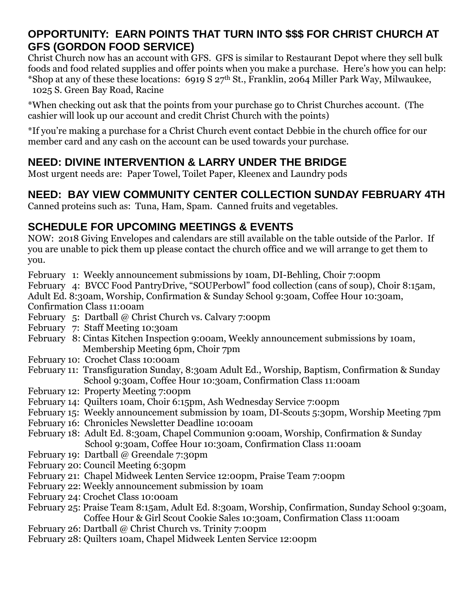#### **OPPORTUNITY: EARN POINTS THAT TURN INTO \$\$\$ FOR CHRIST CHURCH AT GFS (GORDON FOOD SERVICE)**

Christ Church now has an account with GFS. GFS is similar to Restaurant Depot where they sell bulk foods and food related supplies and offer points when you make a purchase. Here's how you can help: \*Shop at any of these these locations: 6919 S 27th St., Franklin, 2064 Miller Park Way, Milwaukee, 1025 S. Green Bay Road, Racine

\*When checking out ask that the points from your purchase go to Christ Churches account. (The cashier will look up our account and credit Christ Church with the points)

\*If you're making a purchase for a Christ Church event contact Debbie in the church office for our member card and any cash on the account can be used towards your purchase.

# **NEED: DIVINE INTERVENTION & LARRY UNDER THE BRIDGE**

Most urgent needs are: Paper Towel, Toilet Paper, Kleenex and Laundry pods

# **NEED: BAY VIEW COMMUNITY CENTER COLLECTION SUNDAY FEBRUARY 4TH**

Canned proteins such as: Tuna, Ham, Spam. Canned fruits and vegetables.

## **SCHEDULE FOR UPCOMING MEETINGS & EVENTS**

NOW: 2018 Giving Envelopes and calendars are still available on the table outside of the Parlor. If you are unable to pick them up please contact the church office and we will arrange to get them to you.

February 1: Weekly announcement submissions by 10am, DI-Behling, Choir 7:00pm

February 4: BVCC Food PantryDrive, "SOUPerbowl" food collection (cans of soup), Choir 8:15am, Adult Ed. 8:30am, Worship, Confirmation & Sunday School 9:30am, Coffee Hour 10:30am, Confirmation Class 11:00am

- February 5: Dartball @ Christ Church vs. Calvary 7:00pm
- February 7: Staff Meeting 10:30am
- February 8: Cintas Kitchen Inspection 9:00am, Weekly announcement submissions by 10am, Membership Meeting 6pm, Choir 7pm
- February 10: Crochet Class 10:00am
- February 11: Transfiguration Sunday, 8:30am Adult Ed., Worship, Baptism, Confirmation & Sunday School 9:30am, Coffee Hour 10:30am, Confirmation Class 11:00am
- February 12: Property Meeting 7:00pm
- February 14: Quilters 10am, Choir 6:15pm, Ash Wednesday Service 7:00pm
- February 15: Weekly announcement submission by 10am, DI-Scouts 5:30pm, Worship Meeting 7pm
- February 16: Chronicles Newsletter Deadline 10:00am
- February 18: Adult Ed. 8:30am, Chapel Communion 9:00am, Worship, Confirmation & Sunday School 9:30am, Coffee Hour 10:30am, Confirmation Class 11:00am
- February 19: Dartball @ Greendale 7:30pm
- February 20: Council Meeting 6:30pm
- February 21: Chapel Midweek Lenten Service 12:00pm, Praise Team 7:00pm
- February 22: Weekly announcement submission by 10am
- February 24: Crochet Class 10:00am
- February 25: Praise Team 8:15am, Adult Ed. 8:30am, Worship, Confirmation, Sunday School 9:30am, Coffee Hour & Girl Scout Cookie Sales 10:30am, Confirmation Class 11:00am
- February 26: Dartball @ Christ Church vs. Trinity 7:00pm
- February 28: Quilters 10am, Chapel Midweek Lenten Service 12:00pm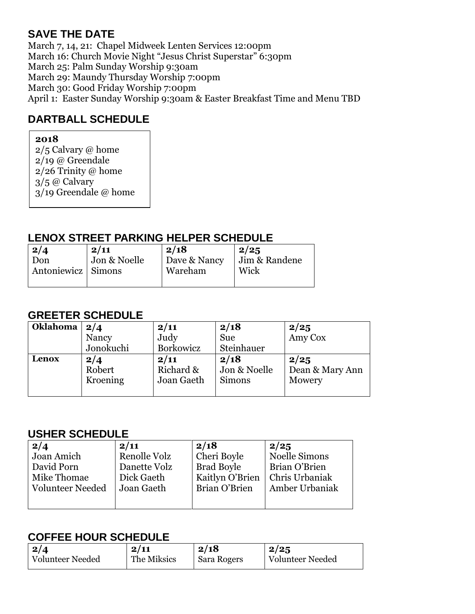## **SAVE THE DATE**

March 7, 14, 21: Chapel Midweek Lenten Services 12:00pm March 16: Church Movie Night "Jesus Christ Superstar" 6:30pm March 25: Palm Sunday Worship 9:30am March 29: Maundy Thursday Worship 7:00pm March 30: Good Friday Worship 7:00pm April 1: Easter Sunday Worship 9:30am & Easter Breakfast Time and Menu TBD

## **DARTBALL SCHEDULE**

#### **2018**

2/5 Calvary @ home  $2/19$  @ Greendale 2/26 Trinity @ home 3/5 @ Calvary 3/19 Greendale @ home

### **LENOX STREET PARKING HELPER SCHEDULE**

| $\frac{2}{4}$<br>Don | 2/11<br>Jon & Noelle | 2/18<br>Dave & Nancy | 2/25<br>Jim & Randene |
|----------------------|----------------------|----------------------|-----------------------|
| Antoniewicz   Simons |                      | Wareham              | Wick                  |
|                      |                      |                      |                       |

## **GREETER SCHEDULE**

| <b>Oklahoma</b> | 2/4           | 2/11              | 2/18                 |                         |
|-----------------|---------------|-------------------|----------------------|-------------------------|
|                 | Nancy         | Judy              | <b>Sue</b>           | $\frac{2}{25}$ Amy Cox  |
|                 | Jonokuchi     | Borkowicz         | Steinhauer           |                         |
| Lenox           | 2/4<br>Robert | 2/11<br>Richard & | 2/18<br>Jon & Noelle | 2/25<br>Dean & Mary Ann |
|                 | Kroening      | Joan Gaeth        | <b>Simons</b>        | Mowery                  |

#### **USHER SCHEDULE**

| 2/4              | 2/11         | 2/18              | 2/25                  |
|------------------|--------------|-------------------|-----------------------|
| Joan Amich       | Renolle Volz | Cheri Boyle       | Noelle Simons         |
| David Porn       | Danette Volz | <b>Brad Boyle</b> | Brian O'Brien         |
| Mike Thomae      | Dick Gaeth   | Kaitlyn O'Brien   | Chris Urbaniak        |
| Volunteer Needed | Joan Gaeth   | Brian O'Brien     | <b>Amber Urbaniak</b> |
|                  |              |                   |                       |
|                  |              |                   |                       |

#### **COFFEE HOUR SCHEDULE**

| 2/4              | 2/11        | 2/18        | 2/25             |  |  |
|------------------|-------------|-------------|------------------|--|--|
| Volunteer Needed | The Miksics | Sara Rogers | Volunteer Needed |  |  |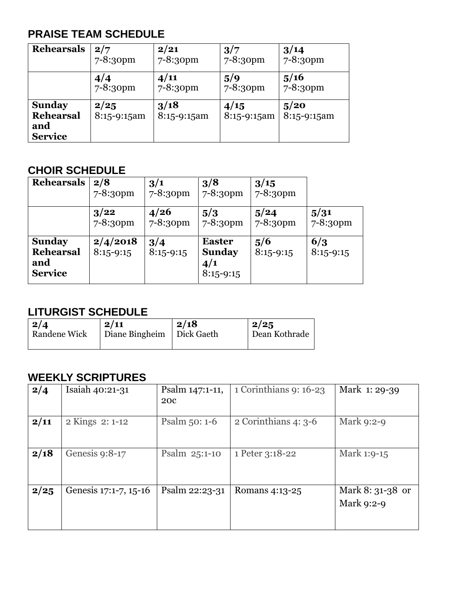## **PRAISE TEAM SCHEDULE**

| <b>Rehearsals</b>                                   | 2/7                   | 2/21                  | 3/7                 | 3/14                |
|-----------------------------------------------------|-----------------------|-----------------------|---------------------|---------------------|
|                                                     | $7 - 8:30$ pm         | 7-8:30pm              | 7-8:30pm            | 7-8:30pm            |
|                                                     | 4/4                   | 4/11                  | 5/9                 | 5/16                |
|                                                     | $7 - 8:30$ pm         | 7-8:30pm              | 7-8:30pm            | 7-8:30pm            |
| <b>Sunday</b><br>Rehearsal<br>and<br><b>Service</b> | 2/25<br>$8:15-9:15am$ | 3/18<br>$8:15-9:15am$ | 4/15<br>8:15-9:15am | 5/20<br>8:15-9:15am |

#### **CHOIR SCHEDULE**

| <b>Rehearsals</b>                                   | 2/8<br>7-8:30pm         | 3/1<br>7-8:30pm       | 3/8<br>7-8:30pm                                      | 3/15<br>7-8:30pm   |                       |
|-----------------------------------------------------|-------------------------|-----------------------|------------------------------------------------------|--------------------|-----------------------|
|                                                     | 3/22<br>7-8:30pm        | 4/26<br>$7 - 8:30$ pm | 5/3<br>7-8:30pm                                      | 5/24<br>7-8:30pm   | 5/31<br>$7 - 8:3$ opm |
| <b>Sunday</b><br>Rehearsal<br>and<br><b>Service</b> | 2/4/2018<br>$8:15-9:15$ | 3/4<br>$8:15-9:15$    | <b>Easter</b><br><b>Sunday</b><br>4/1<br>$8:15-9:15$ | 5/6<br>$8:15-9:15$ | 6/3<br>$8:15-9:15$    |

## **LITURGIST SCHEDULE**

| $\mid$ 2/4          | 2/11                        | 2/18 | $\frac{2}{25}$ |
|---------------------|-----------------------------|------|----------------|
| <b>Randene Wick</b> | Diane Bingheim   Dick Gaeth |      | Dean Kothrade  |

#### **WEEKLY SCRIPTURES**

| 2/4  | Isaiah 40:21-31       | Psalm 147:1-11,<br><b>200</b> | 1 Corinthians 9: 16-23 | Mark 1: 29-39                  |
|------|-----------------------|-------------------------------|------------------------|--------------------------------|
| 2/11 | 2 Kings 2: 1-12       | Psalm $50:1-6$                | 2 Corinthians $4:3-6$  | Mark 9:2-9                     |
| 2/18 | Genesis 9:8-17        | Psalm 25:1-10                 | 1 Peter 3:18-22        | Mark 1:9-15                    |
| 2/25 | Genesis 17:1-7, 15-16 | Psalm 22:23-31                | Romans 4:13-25         | Mark 8: 31-38 or<br>Mark 9:2-9 |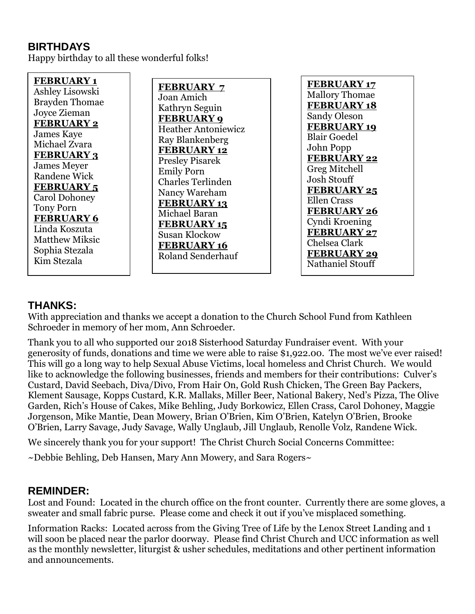#### **BIRTHDAYS**

Happy birthday to all these wonderful folks!

**FEBRUARY 1** Ashley Lisowski Brayden Thomae Joyce Zieman **FEBRUARY 2** James Kaye Michael Zvara **FEBRUARY 3** James Meyer Randene Wick **FEBRUARY 5** Carol Dohoney Tony Porn **FEBRUARY 6** Linda Koszuta Matthew Miksic Sophia Stezala Kim Stezala

**FEBRUARY 7** Joan Amich Kathryn Seguin **FEBRUARY 9** Heather Antoniewicz Ray Blankenberg **FEBRUARY 12** Presley Pisarek Emily Porn Charles Terlinden Nancy Wareham **FEBRUARY 13** Michael Baran **FEBRUARY 15** Susan Klockow **FEBRUARY 16** Roland Senderhauf

**FEBRUARY 17** Mallory Thomae **FEBRUARY 18** Sandy Oleson **FEBRUARY 19** Blair Goedel John Popp **FEBRUARY 22** Greg Mitchell Josh Stouff **FEBRUARY 25** Ellen Crass **FEBRUARY 26** Cyndi Kroening **FEBRUARY 27** Chelsea Clark **FEBRUARY 29** Nathaniel Stouff

#### **THANKS:**

With appreciation and thanks we accept a donation to the Church School Fund from Kathleen Schroeder in memory of her mom, Ann Schroeder.

Thank you to all who supported our 2018 Sisterhood Saturday Fundraiser event. With your generosity of funds, donations and time we were able to raise \$1,922.00. The most we've ever raised! This will go a long way to help Sexual Abuse Victims, local homeless and Christ Church. We would like to acknowledge the following businesses, friends and members for their contributions: Culver's Custard, David Seebach, Diva/Divo, From Hair On, Gold Rush Chicken, The Green Bay Packers, Klement Sausage, Kopps Custard, K.R. Mallaks, Miller Beer, National Bakery, Ned's Pizza, The Olive Garden, Rich's House of Cakes, Mike Behling, Judy Borkowicz, Ellen Crass, Carol Dohoney, Maggie Jorgenson, Mike Mantie, Dean Mowery, Brian O'Brien, Kim O'Brien, Katelyn O'Brien, Brooke O'Brien, Larry Savage, Judy Savage, Wally Unglaub, Jill Unglaub, Renolle Volz, Randene Wick.

We sincerely thank you for your support! The Christ Church Social Concerns Committee:

 $\sim$ Debbie Behling, Deb Hansen, Mary Ann Mowery, and Sara Rogers $\sim$ 

#### **REMINDER:**

Lost and Found: Located in the church office on the front counter. Currently there are some gloves, a sweater and small fabric purse. Please come and check it out if you've misplaced something.

Information Racks: Located across from the Giving Tree of Life by the Lenox Street Landing and 1 will soon be placed near the parlor doorway. Please find Christ Church and UCC information as well as the monthly newsletter, liturgist & usher schedules, meditations and other pertinent information and announcements.